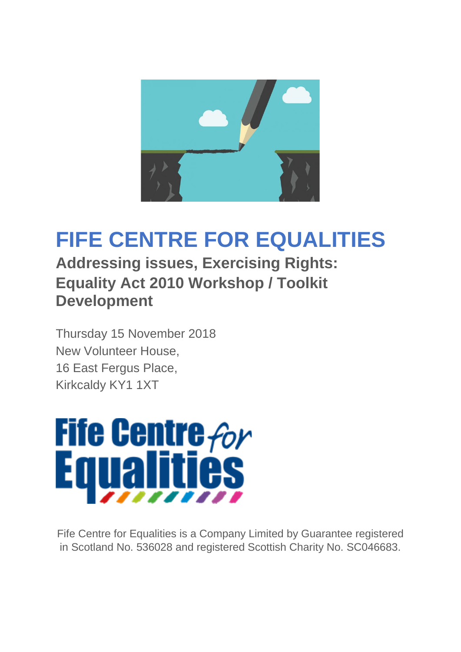

# **FIFE CENTRE FOR EQUALITIES**

**Addressing issues, Exercising Rights: Equality Act 2010 Workshop / Toolkit Development**

Thursday 15 November 2018 New Volunteer House, 16 East Fergus Place, Kirkcaldy KY1 1XT



Fife Centre for Equalities is a Company Limited by Guarantee registered in Scotland No. 536028 and registered Scottish Charity No. SC046683.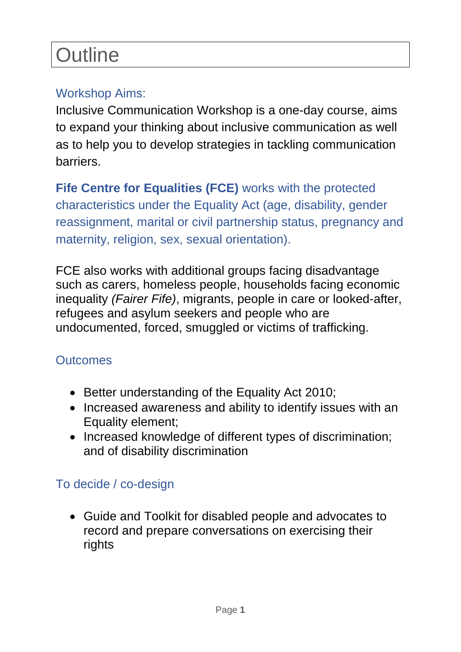# **Outline**

## Workshop Aims:

Inclusive Communication Workshop is a one-day course, aims to expand your thinking about inclusive communication as well as to help you to develop strategies in tackling communication barriers.

**Fife Centre for Equalities (FCE)** works with the protected characteristics under the Equality Act (age, disability, gender reassignment, marital or civil partnership status, pregnancy and maternity, religion, sex, sexual orientation).

FCE also works with additional groups facing disadvantage such as carers, homeless people, households facing economic inequality *(Fairer Fife)*, migrants, people in care or looked-after, refugees and asylum seekers and people who are undocumented, forced, smuggled or victims of trafficking.

### **Outcomes**

- Better understanding of the Equality Act 2010;
- Increased awareness and ability to identify issues with an Equality element;
- Increased knowledge of different types of discrimination; and of disability discrimination

### To decide / co-design

• Guide and Toolkit for disabled people and advocates to record and prepare conversations on exercising their rights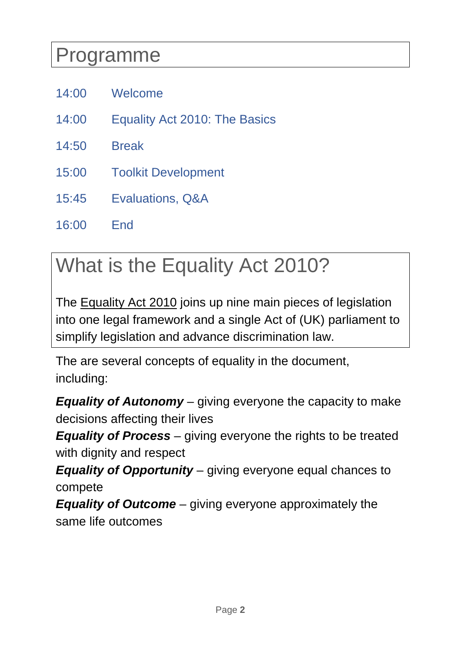# Programme

- 14:00 Welcome
- 14:00 Equality Act 2010: The Basics
- 14:50 Break
- 15:00 Toolkit Development
- 15:45 Evaluations, Q&A
- 16:00 End

# What is the Equality Act 2010?

The **Equality Act 2010** joins up nine main pieces of legislation into one legal framework and a single Act of (UK) parliament to simplify legislation and advance discrimination law.

The are several concepts of equality in the document, including:

*Equality of Autonomy* – giving everyone the capacity to make decisions affecting their lives

*Equality of Process* – giving everyone the rights to be treated with dignity and respect

*Equality of Opportunity* – giving everyone equal chances to compete

*Equality of Outcome* – giving everyone approximately the same life outcomes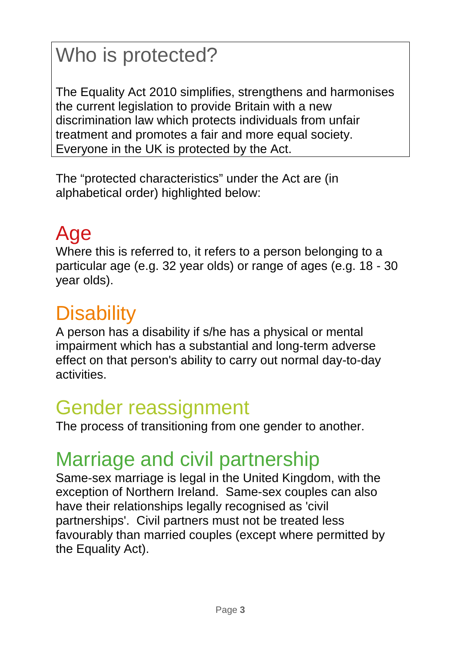# Who is protected?

The Equality Act 2010 simplifies, strengthens and harmonises the current legislation to provide Britain with a new discrimination law which protects individuals from unfair treatment and promotes a fair and more equal society. Everyone in the UK is protected by the Act.

The "protected characteristics" under the Act are (in alphabetical order) highlighted below:

# Age

Where this is referred to, it refers to a person belonging to a particular age (e.g. 32 year olds) or range of ages (e.g. 18 - 30 year olds).

# **Disability**

A person has a disability if s/he has a physical or mental impairment which has a substantial and long-term adverse effect on that person's ability to carry out normal day-to-day activities.

# Gender reassignment

The process of transitioning from one gender to another.

# Marriage and civil partnership

Same-sex marriage is legal in the United Kingdom, with the exception of Northern Ireland. Same-sex couples can also have their relationships legally recognised as 'civil partnerships'. Civil partners must not be treated less favourably than married couples (except where permitted by the Equality Act).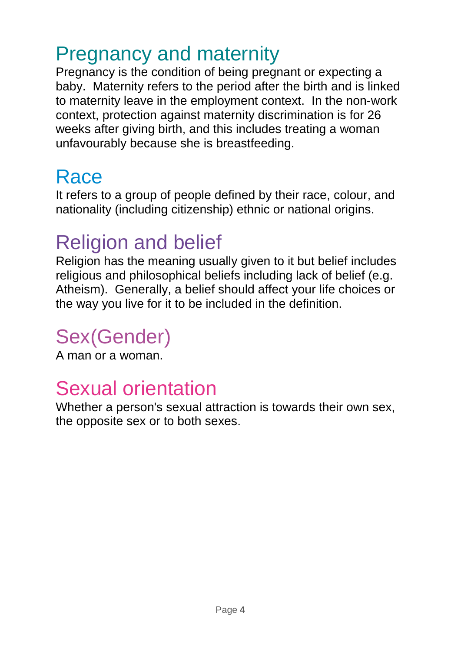# Pregnancy and maternity

Pregnancy is the condition of being pregnant or expecting a baby. Maternity refers to the period after the birth and is linked to maternity leave in the employment context. In the non-work context, protection against maternity discrimination is for 26 weeks after giving birth, and this includes treating a woman unfavourably because she is breastfeeding.

# **Race**

It refers to a group of people defined by their race, colour, and nationality (including citizenship) ethnic or national origins.

# Religion and belief

Religion has the meaning usually given to it but belief includes religious and philosophical beliefs including lack of belief (e.g. Atheism). Generally, a belief should affect your life choices or the way you live for it to be included in the definition.

# Sex(Gender)

A man or a woman.

# Sexual orientation

Whether a person's sexual attraction is towards their own sex, the opposite sex or to both sexes.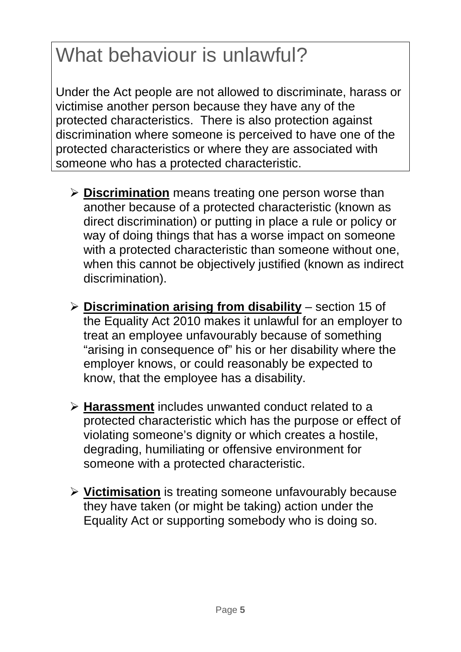# What behaviour is unlawful?

Under the Act people are not allowed to discriminate, harass or victimise another person because they have any of the protected characteristics. There is also protection against discrimination where someone is perceived to have one of the protected characteristics or where they are associated with someone who has a protected characteristic.

- **Discrimination** means treating one person worse than another because of a protected characteristic (known as direct discrimination) or putting in place a rule or policy or way of doing things that has a worse impact on someone with a protected characteristic than someone without one, when this cannot be objectively justified (known as indirect discrimination).
- **Discrimination arising from disability** section 15 of the Equality Act 2010 makes it unlawful for an employer to treat an employee unfavourably because of something "arising in consequence of" his or her disability where the employer knows, or could reasonably be expected to know, that the employee has a disability.
- **Harassment** includes unwanted conduct related to a protected characteristic which has the purpose or effect of violating someone's dignity or which creates a hostile, degrading, humiliating or offensive environment for someone with a protected characteristic.
- **Victimisation** is treating someone unfavourably because they have taken (or might be taking) action under the Equality Act or supporting somebody who is doing so.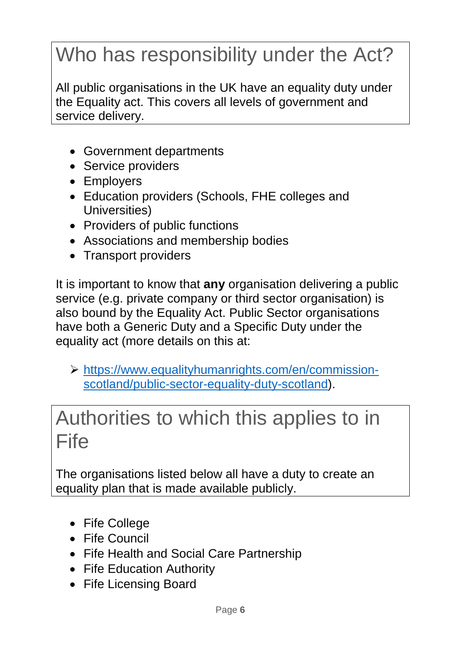# Who has responsibility under the Act?

All public organisations in the UK have an equality duty under the Equality act. This covers all levels of government and service delivery.

- Government departments
- Service providers
- Employers
- Education providers (Schools, FHE colleges and Universities)
- Providers of public functions
- Associations and membership bodies
- Transport providers

It is important to know that **any** organisation delivering a public service (e.g. private company or third sector organisation) is also bound by the Equality Act. Public Sector organisations have both a Generic Duty and a Specific Duty under the equality act (more details on this at:

 [https://www.equalityhumanrights.com/en/commission](https://www.equalityhumanrights.com/en/commission-scotland/public-sector-equality-duty-scotland)[scotland/public-sector-equality-duty-scotland\)](https://www.equalityhumanrights.com/en/commission-scotland/public-sector-equality-duty-scotland).

# Authorities to which this applies to in **Fife**

The organisations listed below all have a duty to create an equality plan that is made available publicly.

- Fife College
- Fife Council
- Fife Health and Social Care Partnership
- Fife Education Authority
- Fife Licensing Board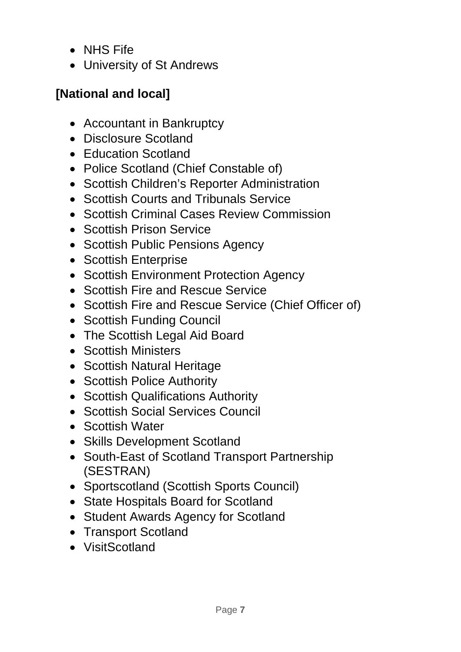- NHS Fife
- University of St Andrews

## **[National and local]**

- Accountant in Bankruptcy
- Disclosure Scotland
- Education Scotland
- Police Scotland (Chief Constable of)
- Scottish Children's Reporter Administration
- Scottish Courts and Tribunals Service
- Scottish Criminal Cases Review Commission
- Scottish Prison Service
- Scottish Public Pensions Agency
- Scottish Enterprise
- Scottish Environment Protection Agency
- Scottish Fire and Rescue Service
- Scottish Fire and Rescue Service (Chief Officer of)
- Scottish Funding Council
- The Scottish Legal Aid Board
- Scottish Ministers
- Scottish Natural Heritage
- Scottish Police Authority
- Scottish Qualifications Authority
- Scottish Social Services Council
- Scottish Water
- Skills Development Scotland
- South-East of Scotland Transport Partnership (SESTRAN)
- Sportscotland (Scottish Sports Council)
- State Hospitals Board for Scotland
- Student Awards Agency for Scotland
- Transport Scotland
- VisitScotland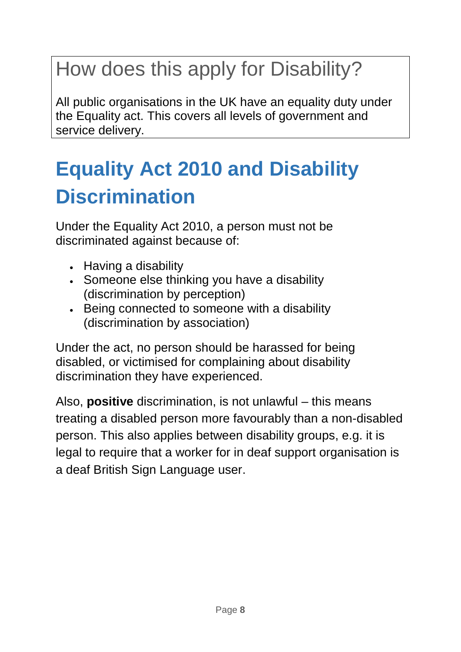# How does this apply for Disability?

All public organisations in the UK have an equality duty under the Equality act. This covers all levels of government and service delivery.

# **Equality Act 2010 and Disability Discrimination**

Under the Equality Act 2010, a person must not be discriminated against because of:

- Having a disability
- Someone else thinking you have a disability (discrimination by perception)
- Being connected to someone with a disability (discrimination by association)

Under the act, no person should be harassed for being disabled, or victimised for complaining about disability discrimination they have experienced.

Also, **positive** discrimination, is not unlawful – this means treating a disabled person more favourably than a non-disabled person. This also applies between disability groups, e.g. it is legal to require that a worker for in deaf support organisation is a deaf British Sign Language user.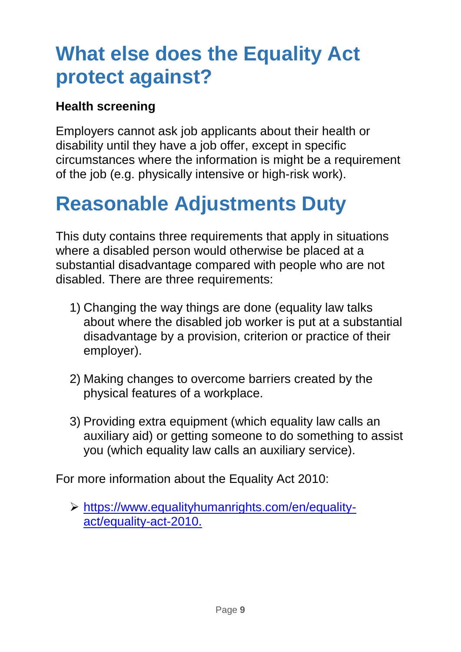# **What else does the Equality Act protect against?**

## **Health screening**

Employers cannot ask job applicants about their health or disability until they have a job offer, except in specific circumstances where the information is might be a requirement of the job (e.g. physically intensive or high-risk work).

# **Reasonable Adjustments Duty**

This duty contains three requirements that apply in situations where a disabled person would otherwise be placed at a substantial disadvantage compared with people who are not disabled. There are three requirements:

- 1) Changing the way things are done (equality law talks about where the disabled job worker is put at a substantial disadvantage by a provision, criterion or practice of their employer).
- 2) Making changes to overcome barriers created by the physical features of a workplace.
- 3) Providing extra equipment (which equality law calls an auxiliary aid) or getting someone to do something to assist you (which equality law calls an auxiliary service).

For more information about the Equality Act 2010:

 [https://www.equalityhumanrights.com/en/equality](https://www.equalityhumanrights.com/en/equality-act/equality-act-2010)[act/equality-act-2010.](https://www.equalityhumanrights.com/en/equality-act/equality-act-2010)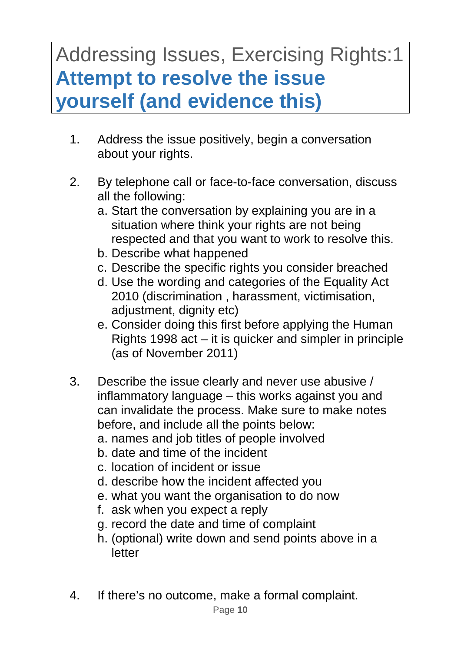# Addressing Issues, Exercising Rights:1 **Attempt to resolve the issue yourself (and evidence this)**

- 1. Address the issue positively, begin a conversation about your rights.
- 2. By telephone call or face-to-face conversation, discuss all the following:
	- a. Start the conversation by explaining you are in a situation where think your rights are not being respected and that you want to work to resolve this.
	- b. Describe what happened
	- c. Describe the specific rights you consider breached
	- d. Use the wording and categories of the Equality Act 2010 (discrimination , harassment, victimisation, adjustment, dignity etc)
	- e. Consider doing this first before applying the Human Rights 1998 act – it is quicker and simpler in principle (as of November 2011)
- 3. Describe the issue clearly and never use abusive / inflammatory language – this works against you and can invalidate the process. Make sure to make notes before, and include all the points below:
	- a. names and job titles of people involved
	- b. date and time of the incident
	- c. location of incident or issue
	- d. describe how the incident affected you
	- e. what you want the organisation to do now
	- f. ask when you expect a reply
	- g. record the date and time of complaint
	- h. (optional) write down and send points above in a letter
- 4. If there's no outcome, make a formal complaint.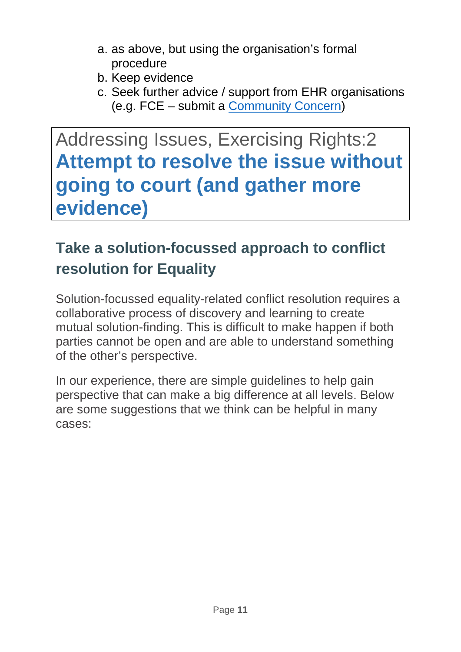- a. as above, but using the organisation's formal procedure
- b. Keep evidence
- c. Seek further advice / support from EHR organisations (e.g. FCE – submit a [Community Concern\)](https://forms.office.com/Pages/ResponsePage.aspx?id=D1XLCygShkyV9zcjKSrKaf7sxfOGUI9JiBLjzrrgsKFUNVU1U09JTjFDVFlTTVBaN0ZaR1pGV0dEOS4u)

# Addressing Issues, Exercising Rights:2 **Attempt to resolve the issue without going to court (and gather more evidence)**

## **Take a solution-focussed approach to conflict resolution for Equality**

Solution-focussed equality-related conflict resolution requires a collaborative process of discovery and learning to create mutual solution-finding. This is difficult to make happen if both parties cannot be open and are able to understand something of the other's perspective.

In our experience, there are simple guidelines to help gain perspective that can make a big difference at all levels. Below are some suggestions that we think can be helpful in many cases: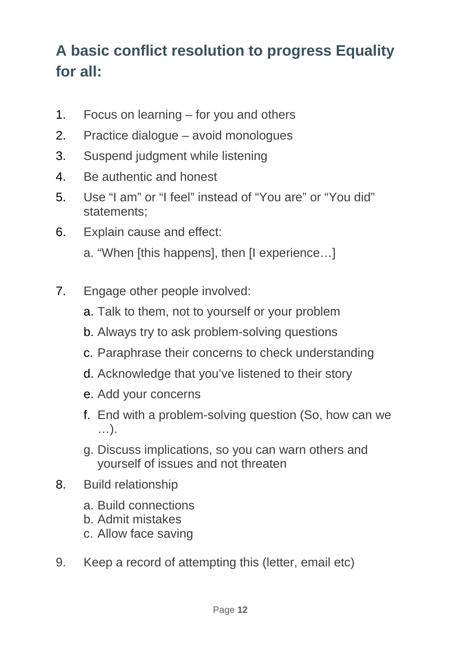## **A basic conflict resolution to progress Equality for all:**

- 1. Focus on learning for you and others
- 2. Practice dialogue avoid monologues
- 3. Suspend judgment while listening
- 4. Be authentic and honest
- 5. Use "I am" or "I feel" instead of "You are" or "You did" statements;
- 6. Explain cause and effect:
	- a. "When [this happens], then [I experience…]
- 7. Engage other people involved:
	- a. Talk to them, not to yourself or your problem
	- b. Always try to ask problem-solving questions
	- c. Paraphrase their concerns to check understanding
	- d. Acknowledge that you've listened to their story
	- e. Add your concerns
	- f. End with a problem-solving question (So, how can we …).
	- g. Discuss implications, so you can warn others and yourself of issues and not threaten
- 8. Build relationship
	- a. Build connections
	- b. Admit mistakes
	- c. Allow face saving
- 9. Keep a record of attempting this (letter, email etc)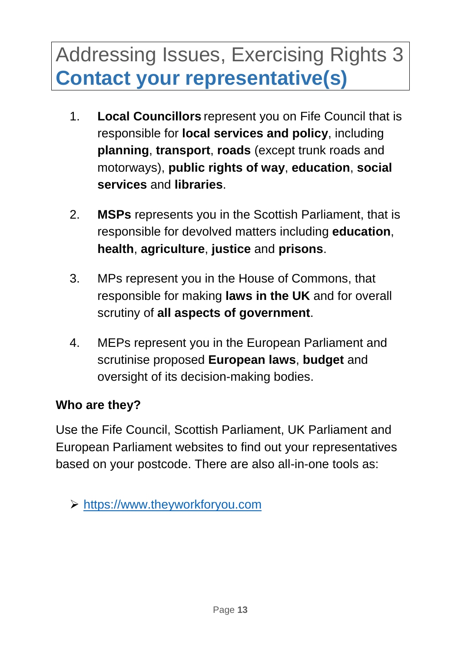# Addressing Issues, Exercising Rights 3 **Contact your representative(s)**

- 1. **Local Councillors** represent you on Fife Council that is responsible for **local services and policy**, including **planning**, **transport**, **roads** (except trunk roads and motorways), **public rights of way**, **education**, **social services** and **libraries**.
- 2. **MSPs** represents you in the Scottish Parliament, that is responsible for devolved matters including **education**, **health**, **agriculture**, **justice** and **prisons**.
- 3. MPs represent you in the House of Commons, that responsible for making **laws in the UK** and for overall scrutiny of **all aspects of government**.
- 4. MEPs represent you in the European Parliament and scrutinise proposed **European laws**, **budget** and oversight of its decision-making bodies.

### **Who are they?**

Use the Fife Council, Scottish Parliament, UK Parliament and European Parliament websites to find out your representatives based on your postcode. There are also all-in-one tools as:

[https://www.theyworkforyou.com](https://www.theyworkforyou.com/)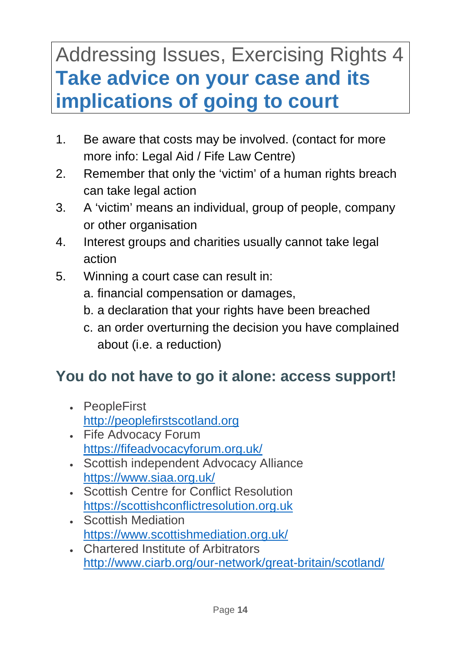# Addressing Issues, Exercising Rights 4 **Take advice on your case and its implications of going to court**

- 1. Be aware that costs may be involved. (contact for more more info: Legal Aid / Fife Law Centre)
- 2. Remember that only the 'victim' of a human rights breach can take legal action
- 3. A 'victim' means an individual, group of people, company or other organisation
- 4. Interest groups and charities usually cannot take legal action
- 5. Winning a court case can result in:
	- a. financial compensation or damages,
	- b. a declaration that your rights have been breached
	- c. an order overturning the decision you have complained about (i.e. a reduction)

## **You do not have to go it alone: access support!**

- PeopleFirst [http://peoplefirstscotland.org](http://peoplefirstscotland.org/)
- Fife Advocacy Forum <https://fifeadvocacyforum.org.uk/>
- Scottish independent Advocacy Alliance <https://www.siaa.org.uk/>
- Scottish Centre for Conflict Resolution [https://scottishconflictresolution.org.uk](https://scottishconflictresolution.org.uk/)
- Scottish Mediation <https://www.scottishmediation.org.uk/>
- Chartered Institute of Arbitrators <http://www.ciarb.org/our-network/great-britain/scotland/>